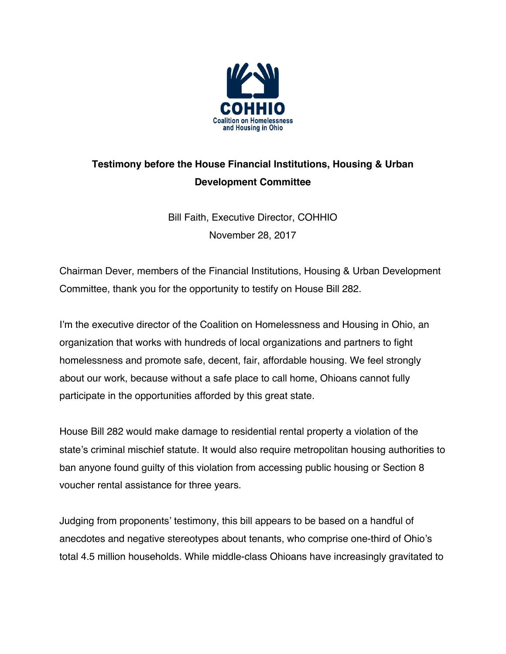

## **Testimony before the House Financial Institutions, Housing & Urban Development Committee**

Bill Faith, Executive Director, COHHIO November 28, 2017

Chairman Dever, members of the Financial Institutions, Housing & Urban Development Committee, thank you for the opportunity to testify on House Bill 282.

I'm the executive director of the Coalition on Homelessness and Housing in Ohio, an organization that works with hundreds of local organizations and partners to fight homelessness and promote safe, decent, fair, affordable housing. We feel strongly about our work, because without a safe place to call home, Ohioans cannot fully participate in the opportunities afforded by this great state.

House Bill 282 would make damage to residential rental property a violation of the state's criminal mischief statute. It would also require metropolitan housing authorities to ban anyone found guilty of this violation from accessing public housing or Section 8 voucher rental assistance for three years.

Judging from proponents' testimony, this bill appears to be based on a handful of anecdotes and negative stereotypes about tenants, who comprise one-third of Ohio's total 4.5 million households. While middle-class Ohioans have increasingly gravitated to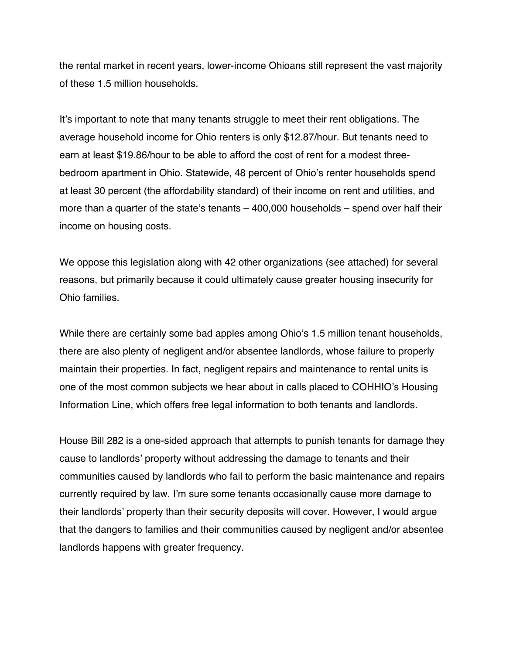the rental market in recent years, lower-income Ohioans still represent the vast majority of these 1.5 million households.

It's important to note that many tenants struggle to meet their rent obligations. The average household income for Ohio renters is only \$12.87/hour. But tenants need to earn at least \$19.86/hour to be able to afford the cost of rent for a modest threebedroom apartment in Ohio. Statewide, 48 percent of Ohio's renter households spend at least 30 percent (the affordability standard) of their income on rent and utilities, and more than a quarter of the state's tenants – 400,000 households – spend over half their income on housing costs.

We oppose this legislation along with 42 other organizations (see attached) for several reasons, but primarily because it could ultimately cause greater housing insecurity for Ohio families.

While there are certainly some bad apples among Ohio's 1.5 million tenant households, there are also plenty of negligent and/or absentee landlords, whose failure to properly maintain their properties. In fact, negligent repairs and maintenance to rental units is one of the most common subjects we hear about in calls placed to COHHIO's Housing Information Line, which offers free legal information to both tenants and landlords.

House Bill 282 is a one-sided approach that attempts to punish tenants for damage they cause to landlords' property without addressing the damage to tenants and their communities caused by landlords who fail to perform the basic maintenance and repairs currently required by law. I'm sure some tenants occasionally cause more damage to their landlords' property than their security deposits will cover. However, I would argue that the dangers to families and their communities caused by negligent and/or absentee landlords happens with greater frequency.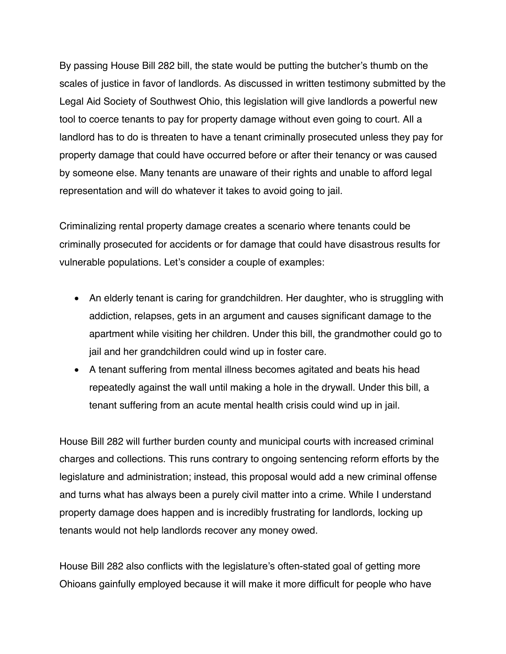By passing House Bill 282 bill, the state would be putting the butcher's thumb on the scales of justice in favor of landlords. As discussed in written testimony submitted by the Legal Aid Society of Southwest Ohio, this legislation will give landlords a powerful new tool to coerce tenants to pay for property damage without even going to court. All a landlord has to do is threaten to have a tenant criminally prosecuted unless they pay for property damage that could have occurred before or after their tenancy or was caused by someone else. Many tenants are unaware of their rights and unable to afford legal representation and will do whatever it takes to avoid going to jail.

Criminalizing rental property damage creates a scenario where tenants could be criminally prosecuted for accidents or for damage that could have disastrous results for vulnerable populations. Let's consider a couple of examples:

- An elderly tenant is caring for grandchildren. Her daughter, who is struggling with addiction, relapses, gets in an argument and causes significant damage to the apartment while visiting her children. Under this bill, the grandmother could go to jail and her grandchildren could wind up in foster care.
- A tenant suffering from mental illness becomes agitated and beats his head repeatedly against the wall until making a hole in the drywall. Under this bill, a tenant suffering from an acute mental health crisis could wind up in jail.

House Bill 282 will further burden county and municipal courts with increased criminal charges and collections. This runs contrary to ongoing sentencing reform efforts by the legislature and administration; instead, this proposal would add a new criminal offense and turns what has always been a purely civil matter into a crime. While I understand property damage does happen and is incredibly frustrating for landlords, locking up tenants would not help landlords recover any money owed.

House Bill 282 also conflicts with the legislature's often-stated goal of getting more Ohioans gainfully employed because it will make it more difficult for people who have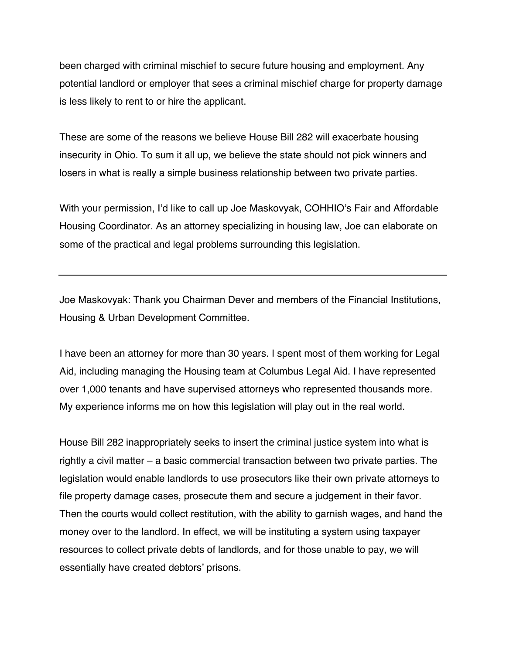been charged with criminal mischief to secure future housing and employment. Any potential landlord or employer that sees a criminal mischief charge for property damage is less likely to rent to or hire the applicant.

These are some of the reasons we believe House Bill 282 will exacerbate housing insecurity in Ohio. To sum it all up, we believe the state should not pick winners and losers in what is really a simple business relationship between two private parties.

With your permission, I'd like to call up Joe Maskovyak, COHHIO's Fair and Affordable Housing Coordinator. As an attorney specializing in housing law, Joe can elaborate on some of the practical and legal problems surrounding this legislation.

Joe Maskovyak: Thank you Chairman Dever and members of the Financial Institutions, Housing & Urban Development Committee.

I have been an attorney for more than 30 years. I spent most of them working for Legal Aid, including managing the Housing team at Columbus Legal Aid. I have represented over 1,000 tenants and have supervised attorneys who represented thousands more. My experience informs me on how this legislation will play out in the real world.

House Bill 282 inappropriately seeks to insert the criminal justice system into what is rightly a civil matter – a basic commercial transaction between two private parties. The legislation would enable landlords to use prosecutors like their own private attorneys to file property damage cases, prosecute them and secure a judgement in their favor. Then the courts would collect restitution, with the ability to garnish wages, and hand the money over to the landlord. In effect, we will be instituting a system using taxpayer resources to collect private debts of landlords, and for those unable to pay, we will essentially have created debtors' prisons.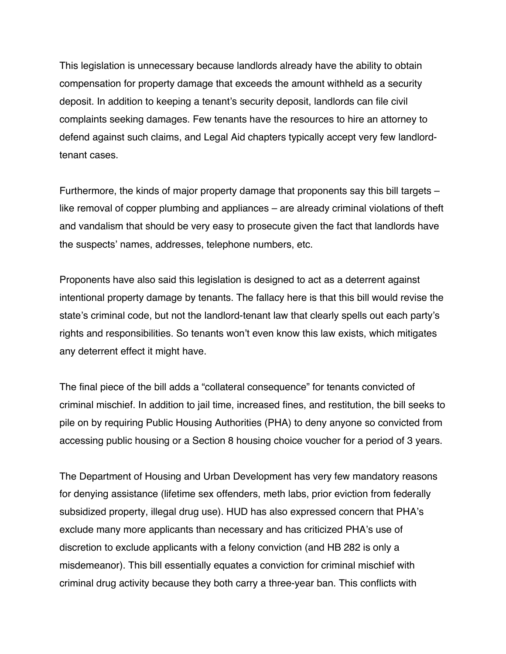This legislation is unnecessary because landlords already have the ability to obtain compensation for property damage that exceeds the amount withheld as a security deposit. In addition to keeping a tenant's security deposit, landlords can file civil complaints seeking damages. Few tenants have the resources to hire an attorney to defend against such claims, and Legal Aid chapters typically accept very few landlordtenant cases.

Furthermore, the kinds of major property damage that proponents say this bill targets – like removal of copper plumbing and appliances – are already criminal violations of theft and vandalism that should be very easy to prosecute given the fact that landlords have the suspects' names, addresses, telephone numbers, etc.

Proponents have also said this legislation is designed to act as a deterrent against intentional property damage by tenants. The fallacy here is that this bill would revise the state's criminal code, but not the landlord-tenant law that clearly spells out each party's rights and responsibilities. So tenants won't even know this law exists, which mitigates any deterrent effect it might have.

The final piece of the bill adds a "collateral consequence" for tenants convicted of criminal mischief. In addition to jail time, increased fines, and restitution, the bill seeks to pile on by requiring Public Housing Authorities (PHA) to deny anyone so convicted from accessing public housing or a Section 8 housing choice voucher for a period of 3 years.

The Department of Housing and Urban Development has very few mandatory reasons for denying assistance (lifetime sex offenders, meth labs, prior eviction from federally subsidized property, illegal drug use). HUD has also expressed concern that PHA's exclude many more applicants than necessary and has criticized PHA's use of discretion to exclude applicants with a felony conviction (and HB 282 is only a misdemeanor). This bill essentially equates a conviction for criminal mischief with criminal drug activity because they both carry a three-year ban. This conflicts with